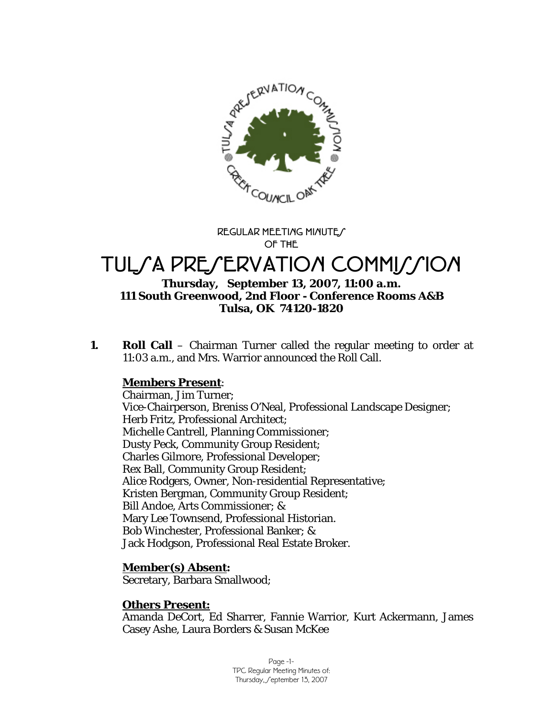

**REGULAR MEETING MINUTES OF THE** 

# TULSA PRESERVATION COMMISSION

## **Thursday, September 13, 2007, 11:00 a.m. 111 South Greenwood, 2nd Floor - Conference Rooms A&B Tulsa, OK 74120-1820**

**1. Roll Call** – Chairman Turner called the regular meeting to order at 11:03 a.m., and Mrs. Warrior announced the Roll Call.

## **Members Present**:

Chairman, Jim Turner; Vice-Chairperson, Breniss O'Neal, Professional Landscape Designer; Herb Fritz, Professional Architect; Michelle Cantrell, Planning Commissioner; Dusty Peck, Community Group Resident; Charles Gilmore, Professional Developer; Rex Ball, Community Group Resident; Alice Rodgers, Owner, Non-residential Representative; Kristen Bergman, Community Group Resident; Bill Andoe, Arts Commissioner; & Mary Lee Townsend, Professional Historian. Bob Winchester, Professional Banker; & Jack Hodgson, Professional Real Estate Broker.

## **Member(s) Absent:**

Secretary, Barbara Smallwood;

## **Others Present:**

Amanda DeCort, Ed Sharrer, Fannie Warrior, Kurt Ackermann, James Casey Ashe, Laura Borders & Susan McKee

> Page -1- TPC Regular Meeting Minutes of: Thursday, Ceptember 13, 2007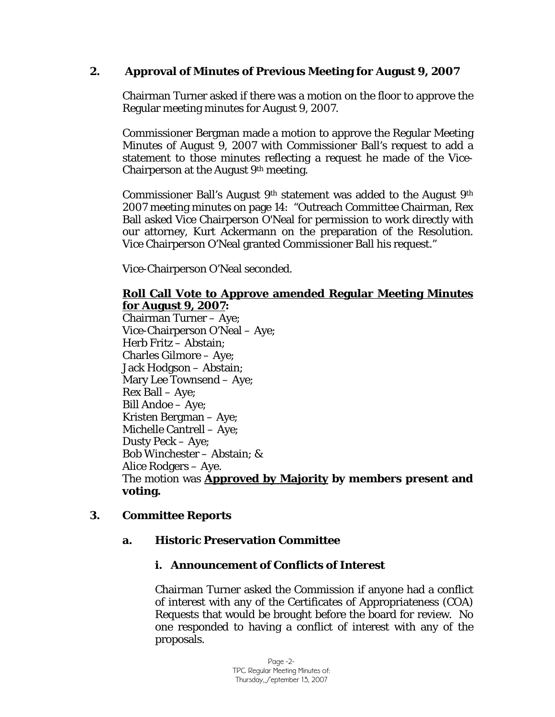## **2. Approval of Minutes of Previous Meeting for August 9, 2007**

Chairman Turner asked if there was a motion on the floor to approve the Regular meeting minutes for August 9, 2007.

Commissioner Bergman made a motion to approve the Regular Meeting Minutes of August 9, 2007 with Commissioner Ball's request to add a statement to those minutes reflecting a request he made of the Vice-Chairperson at the August 9th meeting.

Commissioner Ball's August 9th statement was added to the August 9th 2007 meeting minutes on page 14: "Outreach Committee Chairman, Rex Ball asked Vice Chairperson O'Neal for permission to work directly with our attorney, Kurt Ackermann on the preparation of the Resolution. Vice Chairperson O'Neal granted Commissioner Ball his request."

Vice-Chairperson O'Neal seconded.

## **Roll Call Vote to Approve amended Regular Meeting Minutes for August 9, 2007:**

Chairman Turner – Aye; Vice-Chairperson O'Neal – Aye; Herb Fritz – Abstain; Charles Gilmore – Aye; Jack Hodgson – Abstain; Mary Lee Townsend – Aye; Rex Ball – Aye; Bill Andoe – Aye; Kristen Bergman – Aye; Michelle Cantrell – Aye; Dusty Peck – Aye; Bob Winchester – Abstain; & Alice Rodgers – Aye. The motion was **Approved by Majority by members present and voting.** 

## **3. Committee Reports**

## **a. Historic Preservation Committee**

## **i. Announcement of Conflicts of Interest**

Chairman Turner asked the Commission if anyone had a conflict of interest with any of the Certificates of Appropriateness (COA) Requests that would be brought before the board for review. No one responded to having a conflict of interest with any of the proposals.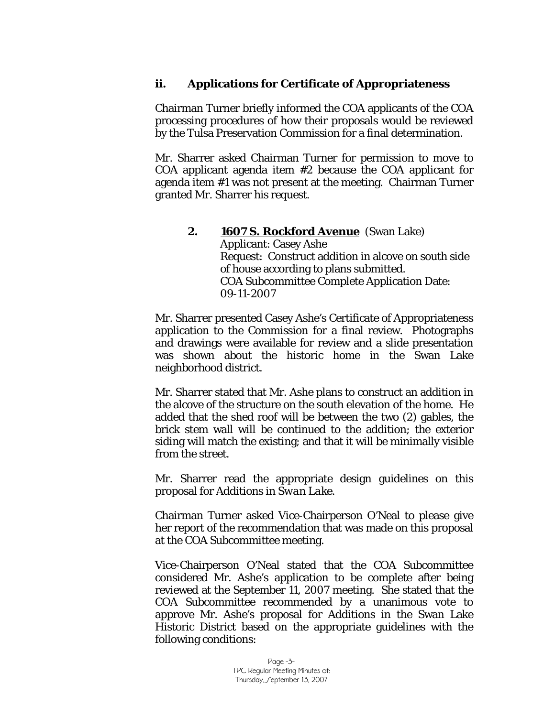## **ii. Applications for Certificate of Appropriateness**

Chairman Turner briefly informed the COA applicants of the COA processing procedures of how their proposals would be reviewed by the Tulsa Preservation Commission for a final determination.

Mr. Sharrer asked Chairman Turner for permission to move to COA applicant agenda item #2 because the COA applicant for agenda item #1 was not present at the meeting. Chairman Turner granted Mr. Sharrer his request.

#### **2. 1607 S. Rockford Avenue** (Swan Lake) Applicant: Casey Ashe Request: Construct addition in alcove on south side of house according to plans submitted. COA Subcommittee Complete Application Date: 09-11-2007

Mr. Sharrer presented Casey Ashe's Certificate of Appropriateness application to the Commission for a final review. Photographs and drawings were available for review and a slide presentation was shown about the historic home in the Swan Lake neighborhood district.

Mr. Sharrer stated that Mr. Ashe plans to construct an addition in the alcove of the structure on the south elevation of the home. He added that the shed roof will be between the two (2) gables, the brick stem wall will be continued to the addition; the exterior siding will match the existing; and that it will be minimally visible from the street.

Mr. Sharrer read the appropriate design guidelines on this proposal for *Additions in Swan Lake.* 

Chairman Turner asked Vice-Chairperson O'Neal to please give her report of the recommendation that was made on this proposal at the COA Subcommittee meeting.

Vice-Chairperson O'Neal stated that the COA Subcommittee considered Mr. Ashe's application to be complete after being reviewed at the September 11, 2007 meeting. She stated that the COA Subcommittee recommended by a unanimous vote to approve Mr. Ashe's proposal for *Additions* in the Swan Lake Historic District based on the appropriate guidelines with the following conditions: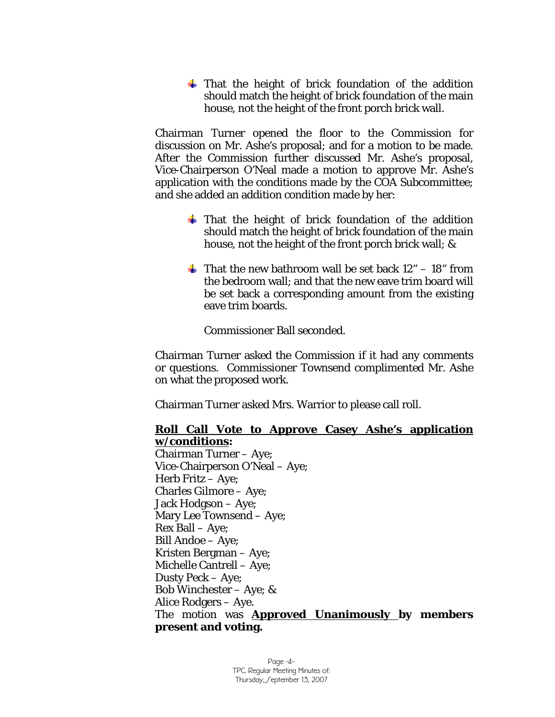$\div$  That the height of brick foundation of the addition should match the height of brick foundation of the main house, not the height of the front porch brick wall.

Chairman Turner opened the floor to the Commission for discussion on Mr. Ashe's proposal; and for a motion to be made. After the Commission further discussed Mr. Ashe's proposal, Vice-Chairperson O'Neal made a motion to approve Mr. Ashe's application with the conditions made by the COA Subcommittee; and she added an addition condition made by her:

- $\frac{1}{\sqrt{2}}$  That the height of brick foundation of the addition should match the height of brick foundation of the main house, not the height of the front porch brick wall; &
- $\overline{\text{+}}$  That the new bathroom wall be set back 12" 18" from the bedroom wall; and that the new eave trim board will be set back a corresponding amount from the existing eave trim boards.

Commissioner Ball seconded.

Chairman Turner asked the Commission if it had any comments or questions. Commissioner Townsend complimented Mr. Ashe on what the proposed work.

Chairman Turner asked Mrs. Warrior to please call roll.

#### **Roll Call Vote to Approve Casey Ashe's application w/conditions:**

Chairman Turner – Aye; Vice-Chairperson O'Neal – Aye; Herb Fritz – Aye; Charles Gilmore – Aye; Jack Hodgson – Aye; Mary Lee Townsend – Aye; Rex Ball – Aye; Bill Andoe – Aye; Kristen Bergman – Aye; Michelle Cantrell – Aye; Dusty Peck – Aye; Bob Winchester – Aye; & Alice Rodgers – Aye. The motion was **Approved Unanimously by members present and voting.**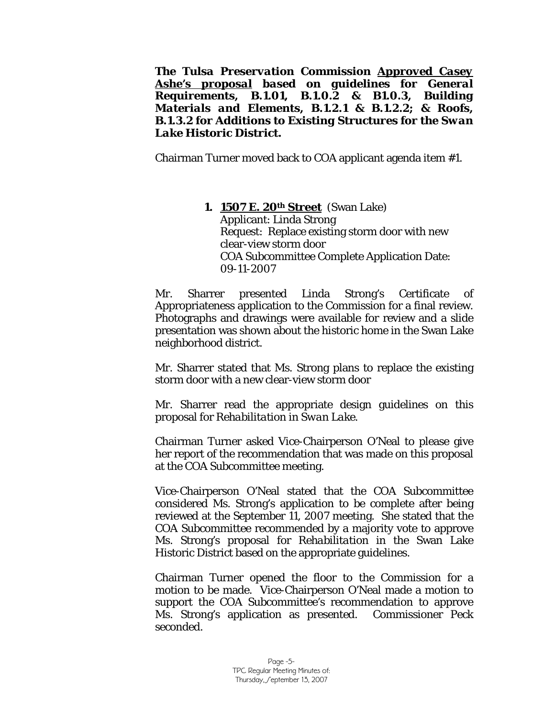*The Tulsa Preservation Commission Approved Casey Ashe's proposal based on guidelines for General Requirements, B.1.01, B.1.0.2 & B1.0.3, Building Materials and Elements, B.1.2.1 & B.1.2.2; & Roofs, B.1.3.2 for Additions to Existing Structures for the Swan Lake Historic District.* 

Chairman Turner moved back to COA applicant agenda item #1.

#### **1. 1507 E. 20th Street** (Swan Lake) Applicant: Linda Strong Request: Replace existing storm door with new clear-view storm door COA Subcommittee Complete Application Date: 09-11-2007

Mr. Sharrer presented Linda Strong's Certificate of Appropriateness application to the Commission for a final review. Photographs and drawings were available for review and a slide presentation was shown about the historic home in the Swan Lake neighborhood district.

Mr. Sharrer stated that Ms. Strong plans to replace the existing storm door with a new clear-view storm door

Mr. Sharrer read the appropriate design guidelines on this proposal for *Rehabilitation in Swan Lake.* 

Chairman Turner asked Vice-Chairperson O'Neal to please give her report of the recommendation that was made on this proposal at the COA Subcommittee meeting.

Vice-Chairperson O'Neal stated that the COA Subcommittee considered Ms. Strong's application to be complete after being reviewed at the September 11, 2007 meeting. She stated that the COA Subcommittee recommended by a majority vote to approve Ms. Strong's proposal for *Rehabilitation* in the Swan Lake Historic District based on the appropriate guidelines.

Chairman Turner opened the floor to the Commission for a motion to be made. Vice-Chairperson O'Neal made a motion to support the COA Subcommittee's recommendation to approve Ms. Strong's application as presented. Commissioner Peck seconded.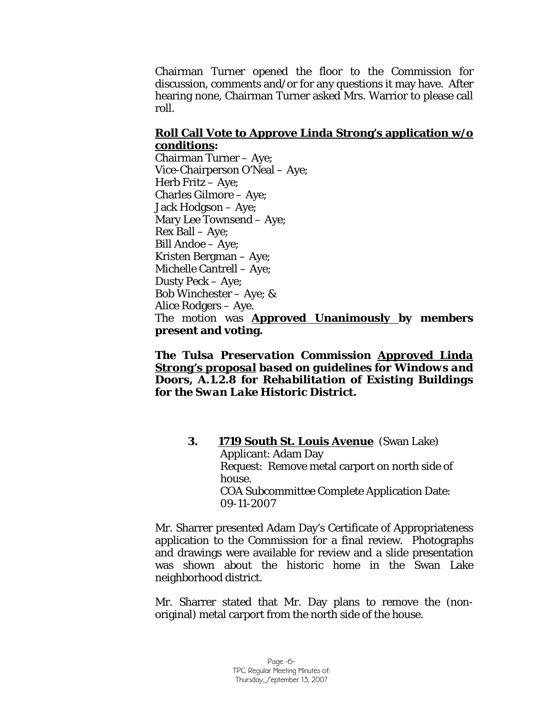Chairman Turner opened the floor to the Commission for discussion, comments and/or for any questions it may have. After hearing none, Chairman Turner asked Mrs. Warrior to please call roll.

#### **Roll Call Vote to Approve Linda Strong's application w/o conditions:**

Chairman Turner – Aye; Vice-Chairperson O'Neal – Aye; Herb Fritz – Aye; Charles Gilmore – Aye; Jack Hodgson – Aye; Mary Lee Townsend – Aye; Rex Ball – Aye; Bill Andoe – Aye; Kristen Bergman – Aye; Michelle Cantrell – Aye; Dusty Peck – Aye; Bob Winchester – Aye; & Alice Rodgers – Aye. The motion was **Approved Unanimously by members present and voting.** 

*The Tulsa Preservation Commission Approved Linda Strong's proposal based on guidelines for Windows and Doors, A.1.2.8 for Rehabilitation of Existing Buildings for the Swan Lake Historic District.* 

> **3. 1719 South St. Louis Avenue** (Swan Lake) Applicant: Adam Day Request: Remove metal carport on north side of house. COA Subcommittee Complete Application Date: 09-11-2007

Mr. Sharrer presented Adam Day's Certificate of Appropriateness application to the Commission for a final review. Photographs and drawings were available for review and a slide presentation was shown about the historic home in the Swan Lake neighborhood district.

Mr. Sharrer stated that Mr. Day plans to remove the (nonoriginal) metal carport from the north side of the house.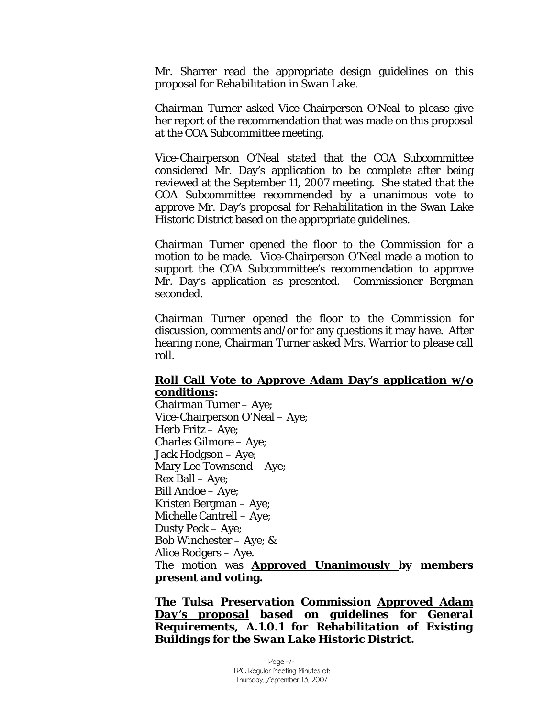Mr. Sharrer read the appropriate design guidelines on this proposal for *Rehabilitation in Swan Lake.* 

Chairman Turner asked Vice-Chairperson O'Neal to please give her report of the recommendation that was made on this proposal at the COA Subcommittee meeting.

Vice-Chairperson O'Neal stated that the COA Subcommittee considered Mr. Day's application to be complete after being reviewed at the September 11, 2007 meeting. She stated that the COA Subcommittee recommended by a unanimous vote to approve Mr. Day's proposal for *Rehabilitation* in the Swan Lake Historic District based on the appropriate guidelines.

Chairman Turner opened the floor to the Commission for a motion to be made. Vice-Chairperson O'Neal made a motion to support the COA Subcommittee's recommendation to approve Mr. Day's application as presented. Commissioner Bergman seconded.

Chairman Turner opened the floor to the Commission for discussion, comments and/or for any questions it may have. After hearing none, Chairman Turner asked Mrs. Warrior to please call roll.

#### **Roll Call Vote to Approve Adam Day's application w/o conditions:**

Chairman Turner – Aye; Vice-Chairperson O'Neal – Aye; Herb Fritz – Aye; Charles Gilmore – Aye; Jack Hodgson – Aye; Mary Lee Townsend – Aye; Rex Ball – Aye; Bill Andoe – Aye; Kristen Bergman – Aye; Michelle Cantrell – Aye; Dusty Peck – Aye; Bob Winchester – Aye; & Alice Rodgers – Aye. The motion was **Approved Unanimously by members present and voting.** 

*The Tulsa Preservation Commission Approved Adam Day's proposal based on guidelines for General Requirements, A.1.0.1 for Rehabilitation of Existing Buildings for the Swan Lake Historic District.*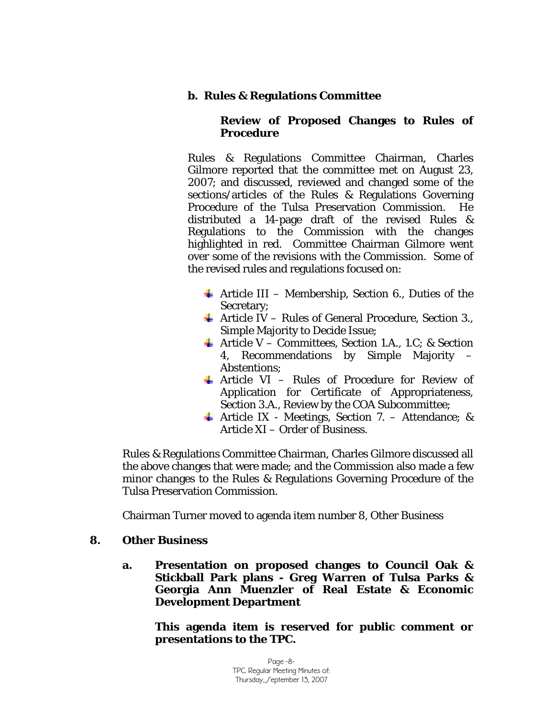## **b. Rules & Regulations Committee**

## **Review of Proposed Changes to Rules of Procedure**

Rules & Regulations Committee Chairman, Charles Gilmore reported that the committee met on August 23, 2007; and discussed, reviewed and changed some of the sections/articles of the Rules & Regulations Governing Procedure of the Tulsa Preservation Commission. He distributed a 14-page draft of the revised Rules & Regulations to the Commission with the changes highlighted in red. Committee Chairman Gilmore went over some of the revisions with the Commission. Some of the revised rules and regulations focused on:

- $\overline{\phantom{a}}$  Article III Membership, Section 6., Duties of the Secretary;
- $\overline{\text{4}}$  Article IV Rules of General Procedure, Section 3., Simple Majority to Decide Issue;
- $\overline{\text{4}}$  Article V Committees, Section 1.A., 1.C; & Section 4, Recommendations by Simple Majority – Abstentions;
- $\perp$  Article VI Rules of Procedure for Review of Application for Certificate of Appropriateness, Section 3.A., Review by the COA Subcommittee;
- $\overline{\text{4}}$  Article IX Meetings, Section 7. Attendance; & Article XI – Order of Business.

Rules & Regulations Committee Chairman, Charles Gilmore discussed all the above changes that were made; and the Commission also made a few minor changes to the Rules & Regulations Governing Procedure of the Tulsa Preservation Commission.

Chairman Turner moved to agenda item number 8, Other Business

## **8. Other Business**

**a. Presentation on proposed changes to Council Oak & Stickball Park plans - Greg Warren of Tulsa Parks & Georgia Ann Muenzler of Real Estate & Economic Development Department** 

**This agenda item is reserved for public comment or presentations to the TPC.**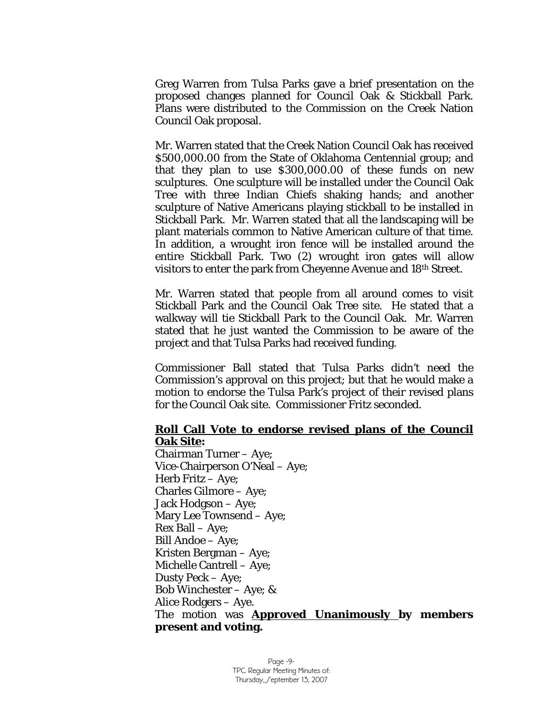Greg Warren from Tulsa Parks gave a brief presentation on the proposed changes planned for Council Oak & Stickball Park. Plans were distributed to the Commission on the Creek Nation Council Oak proposal.

Mr. Warren stated that the Creek Nation Council Oak has received \$500,000.00 from the State of Oklahoma Centennial group; and that they plan to use \$300,000.00 of these funds on new sculptures. One sculpture will be installed under the Council Oak Tree with three Indian Chiefs shaking hands; and another sculpture of Native Americans playing stickball to be installed in Stickball Park. Mr. Warren stated that all the landscaping will be plant materials common to Native American culture of that time. In addition, a wrought iron fence will be installed around the entire Stickball Park. Two (2) wrought iron gates will allow visitors to enter the park from Cheyenne Avenue and 18th Street.

Mr. Warren stated that people from all around comes to visit Stickball Park and the Council Oak Tree site. He stated that a walkway will tie Stickball Park to the Council Oak. Mr. Warren stated that he just wanted the Commission to be aware of the project and that Tulsa Parks had received funding.

Commissioner Ball stated that Tulsa Parks didn't need the Commission's approval on this project; but that he would make a motion to endorse the Tulsa Park's project of their revised plans for the Council Oak site. Commissioner Fritz seconded.

#### **Roll Call Vote to endorse revised plans of the Council Oak Site:**

Chairman Turner – Aye; Vice-Chairperson O'Neal – Aye; Herb Fritz – Aye; Charles Gilmore – Aye; Jack Hodgson – Aye; Mary Lee Townsend – Aye; Rex Ball – Aye; Bill Andoe – Aye; Kristen Bergman – Aye; Michelle Cantrell – Aye; Dusty Peck – Aye; Bob Winchester – Aye; & Alice Rodgers – Aye. The motion was **Approved Unanimously by members present and voting.**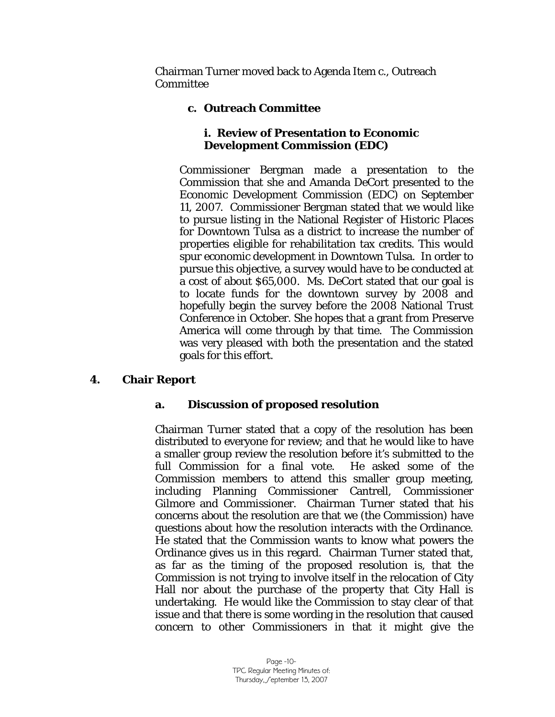Chairman Turner moved back to Agenda Item c., Outreach **Committee** 

## **c. Outreach Committee**

## **i. Review of Presentation to Economic Development Commission (EDC)**

Commissioner Bergman made a presentation to the Commission that she and Amanda DeCort presented to the Economic Development Commission (EDC) on September 11, 2007. Commissioner Bergman stated that we would like to pursue listing in the National Register of Historic Places for Downtown Tulsa as a district to increase the number of properties eligible for rehabilitation tax credits. This would spur economic development in Downtown Tulsa. In order to pursue this objective, a survey would have to be conducted at a cost of about \$65,000. Ms. DeCort stated that our goal is to locate funds for the downtown survey by 2008 and hopefully begin the survey before the 2008 National Trust Conference in October. She hopes that a grant from Preserve America will come through by that time. The Commission was very pleased with both the presentation and the stated goals for this effort.

## **4. Chair Report**

## **a. Discussion of proposed resolution**

Chairman Turner stated that a copy of the resolution has been distributed to everyone for review; and that he would like to have a smaller group review the resolution before it's submitted to the full Commission for a final vote. He asked some of the Commission members to attend this smaller group meeting, including Planning Commissioner Cantrell, Commissioner Gilmore and Commissioner. Chairman Turner stated that his concerns about the resolution are that we (the Commission) have questions about how the resolution interacts with the Ordinance. He stated that the Commission wants to know what powers the Ordinance gives us in this regard. Chairman Turner stated that, as far as the timing of the proposed resolution is, that the Commission is not trying to involve itself in the relocation of City Hall nor about the purchase of the property that City Hall is undertaking. He would like the Commission to stay clear of that issue and that there is some wording in the resolution that caused concern to other Commissioners in that it might give the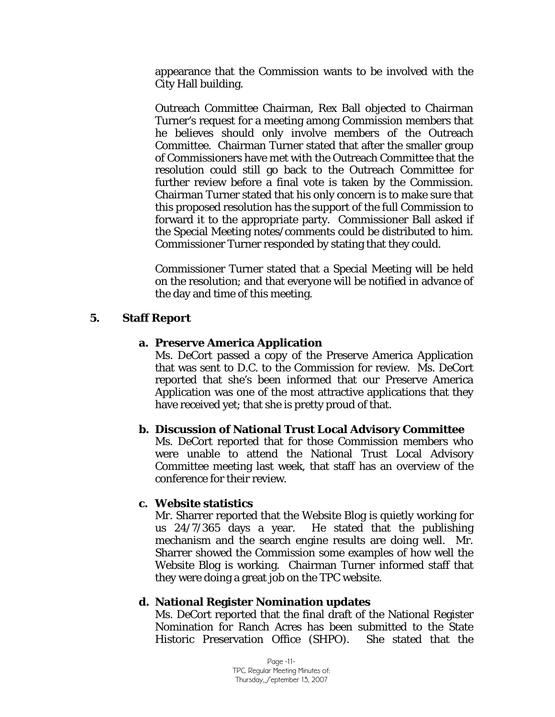appearance that the Commission wants to be involved with the City Hall building.

Outreach Committee Chairman, Rex Ball objected to Chairman Turner's request for a meeting among Commission members that he believes should only involve members of the Outreach Committee. Chairman Turner stated that after the smaller group of Commissioners have met with the Outreach Committee that the resolution could still go back to the Outreach Committee for further review before a final vote is taken by the Commission. Chairman Turner stated that his only concern is to make sure that this proposed resolution has the support of the full Commission to forward it to the appropriate party. Commissioner Ball asked if the Special Meeting notes/comments could be distributed to him. Commissioner Turner responded by stating that they could.

Commissioner Turner stated that a Special Meeting will be held on the resolution; and that everyone will be notified in advance of the day and time of this meeting.

#### **5. Staff Report**

#### **a. Preserve America Application**

Ms. DeCort passed a copy of the Preserve America Application that was sent to D.C. to the Commission for review. Ms. DeCort reported that she's been informed that our Preserve America Application was one of the most attractive applications that they have received yet; that she is pretty proud of that.

#### **b. Discussion of National Trust Local Advisory Committee**

Ms. DeCort reported that for those Commission members who were unable to attend the National Trust Local Advisory Committee meeting last week, that staff has an overview of the conference for their review.

#### **c. Website statistics**

Mr. Sharrer reported that the Website Blog is quietly working for us 24/7/365 days a year. He stated that the publishing mechanism and the search engine results are doing well. Mr. Sharrer showed the Commission some examples of how well the Website Blog is working. Chairman Turner informed staff that they were doing a great job on the TPC website.

#### **d. National Register Nomination updates**

Ms. DeCort reported that the final draft of the National Register Nomination for Ranch Acres has been submitted to the State Historic Preservation Office (SHPO). She stated that the

> Page -11- TPC Regular Meeting Minutes of: Thursday, Ceptember 13, 2007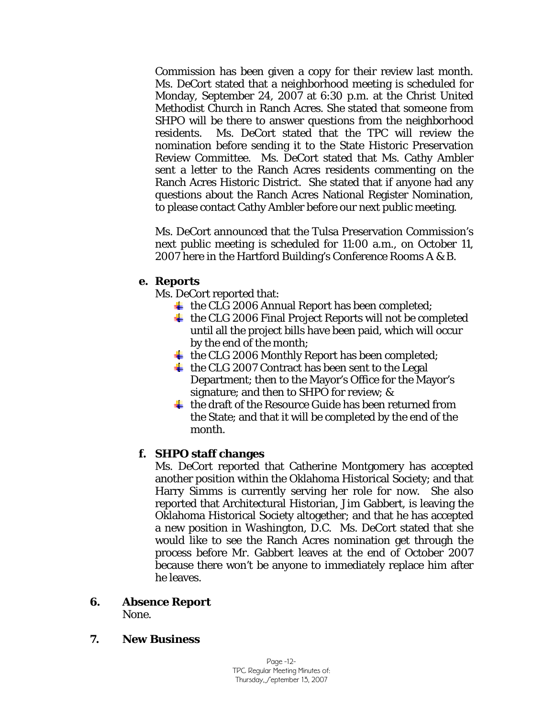Commission has been given a copy for their review last month. Ms. DeCort stated that a neighborhood meeting is scheduled for Monday, September 24, 2007 at 6:30 p.m. at the Christ United Methodist Church in Ranch Acres. She stated that someone from SHPO will be there to answer questions from the neighborhood residents. Ms. DeCort stated that the TPC will review the nomination before sending it to the State Historic Preservation Review Committee. Ms. DeCort stated that Ms. Cathy Ambler sent a letter to the Ranch Acres residents commenting on the Ranch Acres Historic District. She stated that if anyone had any questions about the Ranch Acres National Register Nomination, to please contact Cathy Ambler before our next public meeting.

Ms. DeCort announced that the Tulsa Preservation Commission's next public meeting is scheduled for 11:00 a.m., on October 11, 2007 here in the Hartford Building's Conference Rooms A & B.

## **e. Reports**

Ms. DeCort reported that:

- $\overline{\phantom{a}}$  the CLG 2006 Annual Report has been completed;
- $\pm$  the CLG 2006 Final Project Reports will not be completed until all the project bills have been paid, which will occur by the end of the month;
- $\overline{\text{+}}$  the CLG 2006 Monthly Report has been completed;
- $\overline{\text{+}}$  the CLG 2007 Contract has been sent to the Legal Department; then to the Mayor's Office for the Mayor's signature; and then to SHPO for review; &
- $\pm$  the draft of the Resource Guide has been returned from the State; and that it will be completed by the end of the month.

## **f. SHPO staff changes**

Ms. DeCort reported that Catherine Montgomery has accepted another position within the Oklahoma Historical Society; and that Harry Simms is currently serving her role for now. She also reported that Architectural Historian, Jim Gabbert, is leaving the Oklahoma Historical Society altogether; and that he has accepted a new position in Washington, D.C. Ms. DeCort stated that she would like to see the Ranch Acres nomination get through the process before Mr. Gabbert leaves at the end of October 2007 because there won't be anyone to immediately replace him after he leaves.

## **6. Absence Report**

None.

## **7. New Business**

Page -12- TPC Regular Meeting Minutes of: Thursday, Ceptember 13, 2007